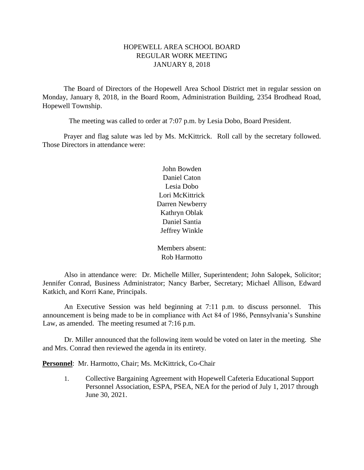#### HOPEWELL AREA SCHOOL BOARD REGULAR WORK MEETING JANUARY 8, 2018

The Board of Directors of the Hopewell Area School District met in regular session on Monday, January 8, 2018, in the Board Room, Administration Building, 2354 Brodhead Road, Hopewell Township.

The meeting was called to order at 7:07 p.m. by Lesia Dobo, Board President.

Prayer and flag salute was led by Ms. McKittrick. Roll call by the secretary followed. Those Directors in attendance were:

> John Bowden Daniel Caton Lesia Dobo Lori McKittrick Darren Newberry Kathryn Oblak Daniel Santia Jeffrey Winkle

Members absent: Rob Harmotto

Also in attendance were: Dr. Michelle Miller, Superintendent; John Salopek, Solicitor; Jennifer Conrad, Business Administrator; Nancy Barber, Secretary; Michael Allison, Edward Katkich, and Korri Kane, Principals.

An Executive Session was held beginning at 7:11 p.m. to discuss personnel. This announcement is being made to be in compliance with Act 84 of 1986, Pennsylvania's Sunshine Law, as amended. The meeting resumed at 7:16 p.m.

Dr. Miller announced that the following item would be voted on later in the meeting. She and Mrs. Conrad then reviewed the agenda in its entirety.

**Personnel**: Mr. Harmotto, Chair; Ms. McKittrick, Co-Chair

1. Collective Bargaining Agreement with Hopewell Cafeteria Educational Support Personnel Association, ESPA, PSEA, NEA for the period of July 1, 2017 through June 30, 2021.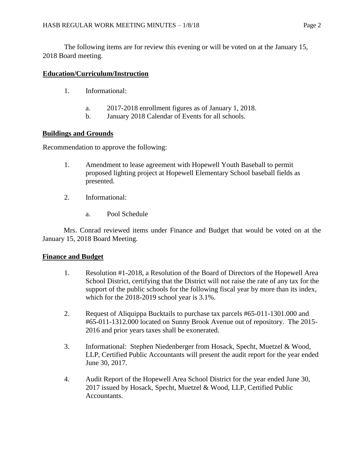The following items are for review this evening or will be voted on at the January 15, 2018 Board meeting.

# **Education/Curriculum/Instruction**

- 1. Informational:
	- a. 2017-2018 enrollment figures as of January 1, 2018.
	- b. January 2018 Calendar of Events for all schools.

# **Buildings and Grounds**

Recommendation to approve the following:

- 1. Amendment to lease agreement with Hopewell Youth Baseball to permit proposed lighting project at Hopewell Elementary School baseball fields as presented.
- 2. Informational:
	- a. Pool Schedule

Mrs. Conrad reviewed items under Finance and Budget that would be voted on at the January 15, 2018 Board Meeting.

# **Finance and Budget**

- 1. Resolution #1-2018, a Resolution of the Board of Directors of the Hopewell Area School District, certifying that the District will not raise the rate of any tax for the support of the public schools for the following fiscal year by more than its index, which for the 2018-2019 school year is 3.1%.
- 2. Request of Aliquippa Bucktails to purchase tax parcels #65-011-1301.000 and #65-011-1312.000 located on Sunny Brook Avenue out of repository. The 2015- 2016 and prior years taxes shall be exonerated.
- 3. Informational: Stephen Niedenberger from Hosack, Specht, Muetzel & Wood, LLP, Certified Public Accountants will present the audit report for the year ended June 30, 2017.
- 4. Audit Report of the Hopewell Area School District for the year ended June 30, 2017 issued by Hosack, Specht, Muetzel & Wood, LLP, Certified Public Accountants.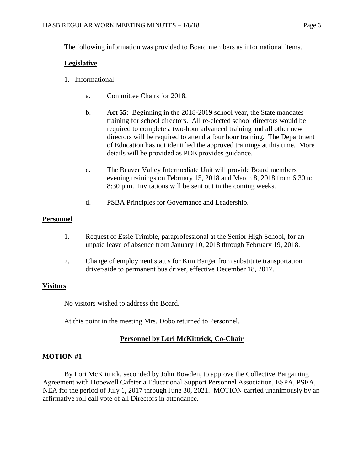The following information was provided to Board members as informational items.

#### **Legislative**

- 1. Informational:
	- a. Committee Chairs for 2018.
	- b. **Act 55**: Beginning in the 2018-2019 school year, the State mandates training for school directors. All re-elected school directors would be required to complete a two-hour advanced training and all other new directors will be required to attend a four hour training. The Department of Education has not identified the approved trainings at this time. More details will be provided as PDE provides guidance.
	- c. The Beaver Valley Intermediate Unit will provide Board members evening trainings on February 15, 2018 and March 8, 2018 from 6:30 to 8:30 p.m. Invitations will be sent out in the coming weeks.
	- d. PSBA Principles for Governance and Leadership.

# **Personnel**

- 1. Request of Essie Trimble, paraprofessional at the Senior High School, for an unpaid leave of absence from January 10, 2018 through February 19, 2018.
- 2. Change of employment status for Kim Barger from substitute transportation driver/aide to permanent bus driver, effective December 18, 2017.

# **Visitors**

No visitors wished to address the Board.

At this point in the meeting Mrs. Dobo returned to Personnel.

# **Personnel by Lori McKittrick, Co-Chair**

# **MOTION #1**

By Lori McKittrick, seconded by John Bowden, to approve the Collective Bargaining Agreement with Hopewell Cafeteria Educational Support Personnel Association, ESPA, PSEA, NEA for the period of July 1, 2017 through June 30, 2021. MOTION carried unanimously by an affirmative roll call vote of all Directors in attendance.